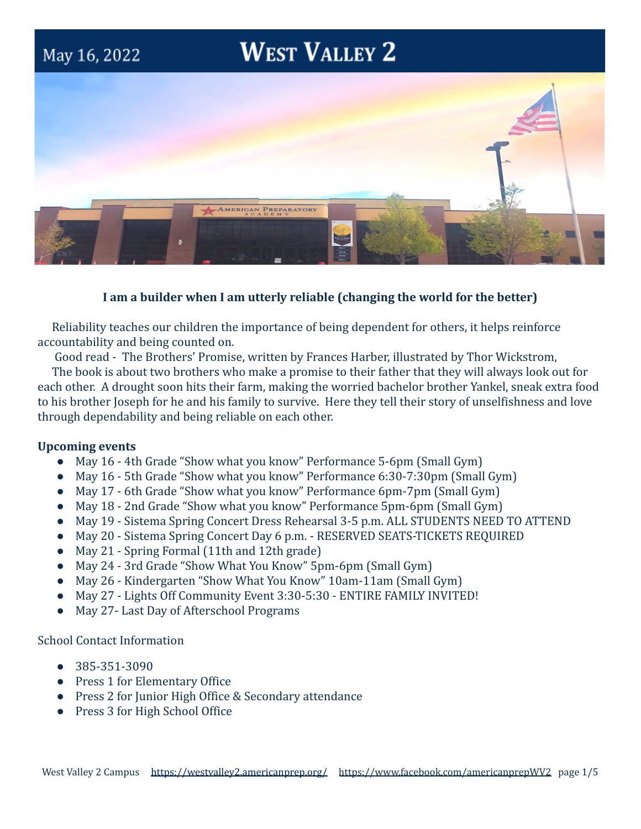# **WEST VALLEY 2**



# **I am a builder when I am utterly reliable (changing the world for the better)**

Reliability teaches our children the importance of being dependent for others, it helps reinforce accountability and being counted on.

Good read - The Brothers' Promise, written by Frances Harber, illustrated by Thor Wickstrom,

The book is about two brothers who make a promise to their father that they will always look out for each other. A drought soon hits their farm, making the worried bachelor brother Yankel, sneak extra food to his brother Joseph for he and his family to survive. Here they tell their story of unselfishness and love through dependability and being reliable on each other.

# **Upcoming events**

May 16, 2022

- May 16 4th Grade "Show what you know" Performance 5-6pm (Small Gym)
- May 16 5th Grade "Show what you know" Performance 6:30-7:30pm (Small Gym)
- May 17 6th Grade "Show what you know" Performance 6pm-7pm (Small Gym)
- May 18 2nd Grade "Show what you know" Performance 5pm-6pm (Small Gym)
- May 19 Sistema Spring Concert Dress Rehearsal 3-5 p.m. ALL STUDENTS NEED TO ATTEND
- May 20 Sistema Spring Concert Day 6 p.m. RESERVED SEATS-TICKETS REQUIRED
- May 21 Spring Formal (11th and 12th grade)
- May 24 3rd Grade "Show What You Know" 5pm-6pm (Small Gym)
- May 26 Kindergarten "Show What You Know" 10am-11am (Small Gym)
- May 27 Lights Off Community Event 3:30-5:30 ENTIRE FAMILY INVITED!
- May 27- Last Day of Afterschool Programs

School Contact Information

- 385-351-3090
- Press 1 for Elementary Office
- Press 2 for Junior High Office & Secondary attendance
- Press 3 for High School Office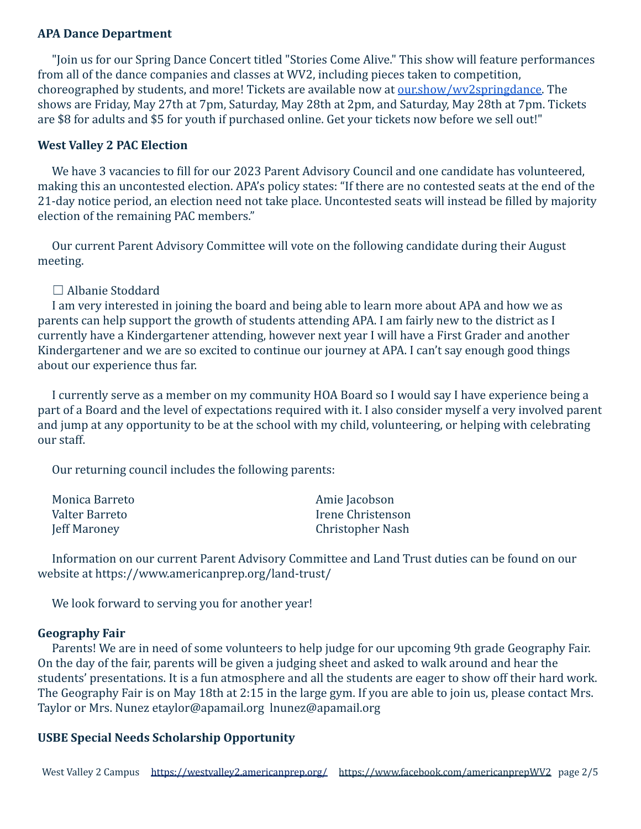## **APA Dance Department**

"Join us for our Spring Dance Concert titled "Stories Come Alive." This show will feature performances from all of the dance companies and classes at WV2, including pieces taken to competition, choreographed by students, and more! Tickets are available now at [our.show/wv2springdance.](http://our.show/wv2springdance) The shows are Friday, May 27th at 7pm, Saturday, May 28th at 2pm, and Saturday, May 28th at 7pm. Tickets are \$8 for adults and \$5 for youth if purchased online. Get your tickets now before we sell out!"

## **West Valley 2 PAC Election**

We have 3 vacancies to fill for our 2023 Parent Advisory Council and one candidate has volunteered, making this an uncontested election. APA's policy states: "If there are no contested seats at the end of the 21-day notice period, an election need not take place. Uncontested seats will instead be filled by majority election of the remaining PAC members."

Our current Parent Advisory Committee will vote on the following candidate during their August meeting.

# ☐ Albanie Stoddard

I am very interested in joining the board and being able to learn more about APA and how we as parents can help support the growth of students attending APA. I am fairly new to the district as I currently have a Kindergartener attending, however next year I will have a First Grader and another Kindergartener and we are so excited to continue our journey at APA. I can't say enough good things about our experience thus far.

I currently serve as a member on my community HOA Board so I would say I have experience being a part of a Board and the level of expectations required with it. I also consider myself a very involved parent and jump at any opportunity to be at the school with my child, volunteering, or helping with celebrating our staff.

Our returning council includes the following parents:

| Monica Barreto | Amie Jacobson     |
|----------------|-------------------|
| Valter Barreto | Irene Christenson |
| Jeff Maroney   | Christopher Nash  |

Information on our current Parent Advisory Committee and Land Trust duties can be found on our website at https://www.americanprep.org/land-trust/

We look forward to serving you for another year!

#### **Geography Fair**

Parents! We are in need of some volunteers to help judge for our upcoming 9th grade Geography Fair. On the day of the fair, parents will be given a judging sheet and asked to walk around and hear the students' presentations. It is a fun atmosphere and all the students are eager to show off their hard work. The Geography Fair is on May 18th at 2:15 in the large gym. If you are able to join us, please contact Mrs. Taylor or Mrs. Nunez etaylor@apamail.org lnunez@apamail.org

# **USBE Special Needs Scholarship Opportunity**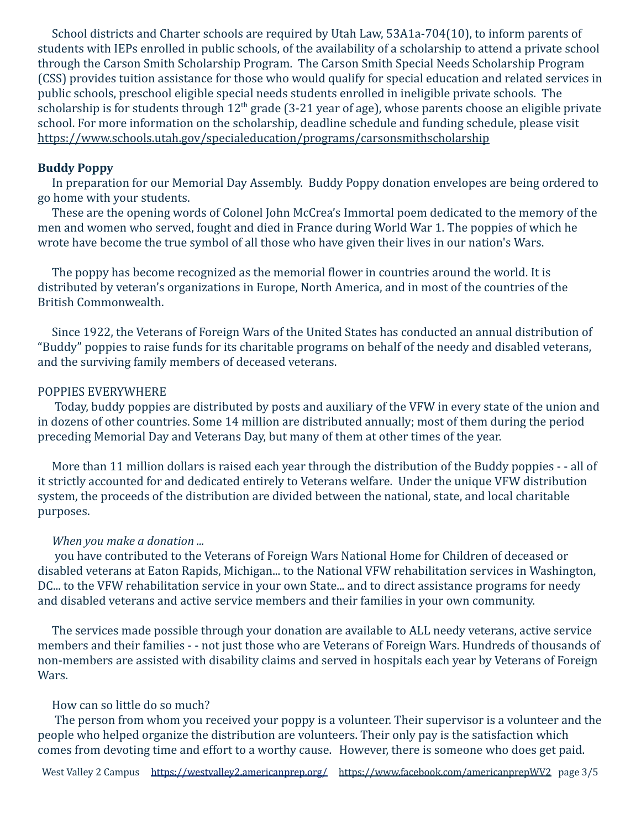School districts and Charter schools are required by Utah Law, 53A1a-704(10), to inform parents of students with IEPs enrolled in public schools, of the availability of a scholarship to attend a private school through the Carson Smith Scholarship Program. The Carson Smith Special Needs Scholarship Program (CSS) provides tuition assistance for those who would qualify for special education and related services in public schools, preschool eligible special needs students enrolled in ineligible private schools. The scholarship is for students through  $12<sup>th</sup>$  grade (3-21 year of age), whose parents choose an eligible private school. For more information on the scholarship, deadline schedule and funding schedule, please visit <https://www.schools.utah.gov/specialeducation/programs/carsonsmithscholarship>

## **Buddy Poppy**

In preparation for our Memorial Day Assembly. Buddy Poppy donation envelopes are being ordered to go home with your students.

These are the opening words of Colonel John McCrea's Immortal poem dedicated to the memory of the men and women who served, fought and died in France during World War 1. The poppies of which he wrote have become the true symbol of all those who have given their lives in our nation's Wars.

The poppy has become recognized as the memorial flower in countries around the world. It is distributed by veteran's organizations in Europe, North America, and in most of the countries of the British Commonwealth.

Since 1922, the Veterans of Foreign Wars of the United States has conducted an annual distribution of "Buddy" poppies to raise funds for its charitable programs on behalf of the needy and disabled veterans, and the surviving family members of deceased veterans.

#### POPPIES EVERYWHERE

Today, buddy poppies are distributed by posts and auxiliary of the VFW in every state of the union and in dozens of other countries. Some 14 million are distributed annually; most of them during the period preceding Memorial Day and Veterans Day, but many of them at other times of the year.

More than 11 million dollars is raised each year through the distribution of the Buddy poppies - - all of it strictly accounted for and dedicated entirely to Veterans welfare. Under the unique VFW distribution system, the proceeds of the distribution are divided between the national, state, and local charitable purposes.

#### *When you make a donation ...*

you have contributed to the Veterans of Foreign Wars National Home for Children of deceased or disabled veterans at Eaton Rapids, Michigan... to the National VFW rehabilitation services in Washington, DC... to the VFW rehabilitation service in your own State... and to direct assistance programs for needy and disabled veterans and active service members and their families in your own community.

The services made possible through your donation are available to ALL needy veterans, active service members and their families - - not just those who are Veterans of Foreign Wars. Hundreds of thousands of non-members are assisted with disability claims and served in hospitals each year by Veterans of Foreign Wars.

#### How can so little do so much?

The person from whom you received your poppy is a volunteer. Their supervisor is a volunteer and the people who helped organize the distribution are volunteers. Their only pay is the satisfaction which comes from devoting time and effort to a worthy cause. However, there is someone who does get paid.

West Valley 2 Campus <https://westvalley2.americanprep.org/> <https://www.facebook.com/americanprepWV2> page 3/5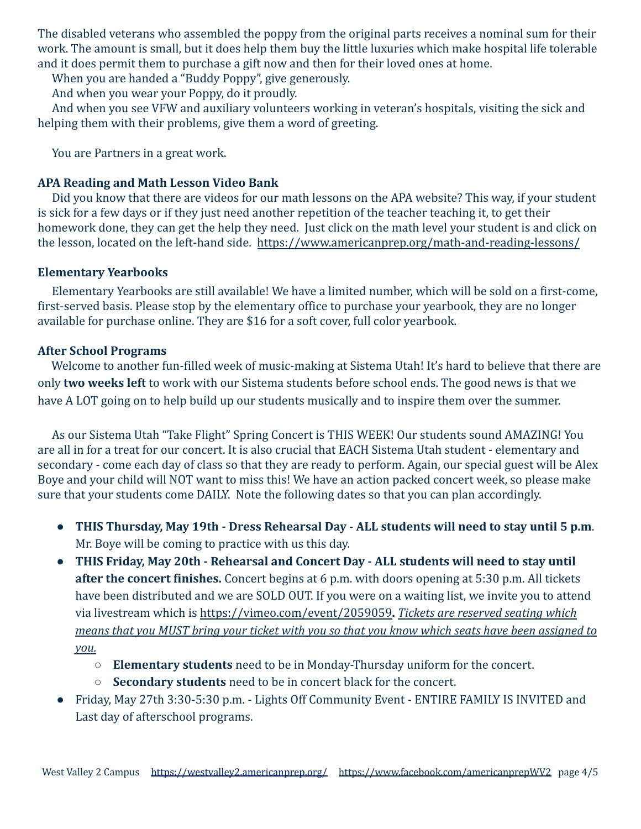The disabled veterans who assembled the poppy from the original parts receives a nominal sum for their work. The amount is small, but it does help them buy the little luxuries which make hospital life tolerable and it does permit them to purchase a gift now and then for their loved ones at home.

When you are handed a "Buddy Poppy", give generously.

And when you wear your Poppy, do it proudly.

And when you see VFW and auxiliary volunteers working in veteran's hospitals, visiting the sick and helping them with their problems, give them a word of greeting.

You are Partners in a great work.

# **APA Reading and Math Lesson Video Bank**

Did you know that there are videos for our math lessons on the APA website? This way, if your student is sick for a few days or if they just need another repetition of the teacher teaching it, to get their homework done, they can get the help they need. Just click on the math level your student is and click on the lesson, located on the left-hand side. <https://www.americanprep.org/math-and-reading-lessons/>

# **Elementary Yearbooks**

Elementary Yearbooks are still available! We have a limited number, which will be sold on a first-come, first-served basis. Please stop by the elementary office to purchase your yearbook, they are no longer available for purchase online. They are \$16 for a soft cover, full color yearbook.

# **After School Programs**

Welcome to another fun-filled week of music-making at Sistema Utah! It's hard to believe that there are only **two weeks left** to work with our Sistema students before school ends. The good news is that we have A LOT going on to help build up our students musically and to inspire them over the summer.

As our Sistema Utah "Take Flight" Spring Concert is THIS WEEK! Our students sound AMAZING! You are all in for a treat for our concert. It is also crucial that EACH Sistema Utah student - elementary and secondary - come each day of class so that they are ready to perform. Again, our special guest will be Alex Boye and your child will NOT want to miss this! We have an action packed concert week, so please make sure that your students come DAILY. Note the following dates so that you can plan accordingly.

- **THIS Thursday, May 19th Dress Rehearsal Day ALL students will need to stay until 5 p.m**. Mr. Boye will be coming to practice with us this day.
- **THIS Friday, May 20th Rehearsal and Concert Day ALL students will need to stay until after the concert finishes.** Concert begins at 6 p.m. with doors opening at 5:30 p.m. All tickets have been distributed and we are SOLD OUT. If you were on a waiting list, we invite you to attend via livestream which is <https://vimeo.com/event/2059059>**.** *Tickets are reserved seating which means that you MUST bring your ticket with you so that you know which seats have been assigned to you.*
	- **Elementary students** need to be in Monday-Thursday uniform for the concert.
	- **Secondary students** need to be in concert black for the concert.
- Friday, May 27th 3:30-5:30 p.m. Lights Off Community Event ENTIRE FAMILY IS INVITED and Last day of afterschool programs.